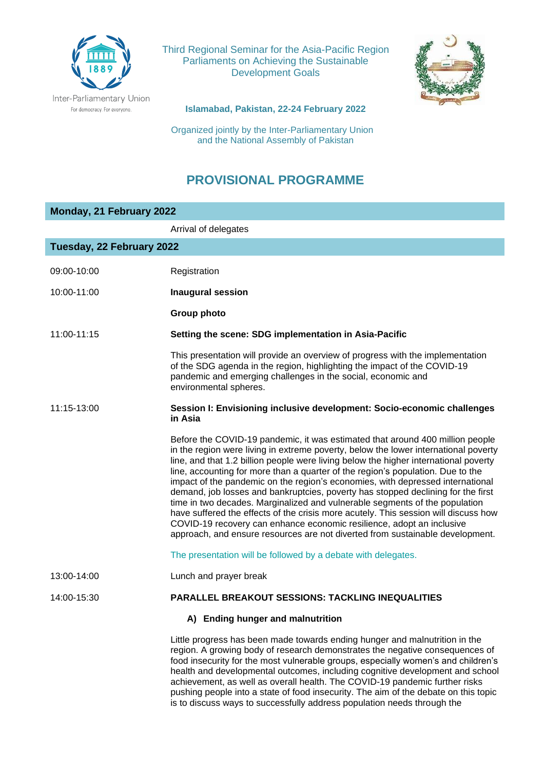

Third Regional Seminar for the Asia-Pacific Region Parliaments on Achieving the Sustainable Development Goals



**Islamabad, Pakistan, 22-24 February 2022**

 Organized jointly by the Inter-Parliamentary Union and the National Assembly of Pakistan

## **PROVISIONAL PROGRAMME**

| Monday, 21 February 2022  |                                                                                                                                                                                                                                                                                                                                                                                                                                                                                                                                                                                                                                                                                                                                                                                                                                                       |  |
|---------------------------|-------------------------------------------------------------------------------------------------------------------------------------------------------------------------------------------------------------------------------------------------------------------------------------------------------------------------------------------------------------------------------------------------------------------------------------------------------------------------------------------------------------------------------------------------------------------------------------------------------------------------------------------------------------------------------------------------------------------------------------------------------------------------------------------------------------------------------------------------------|--|
|                           | Arrival of delegates                                                                                                                                                                                                                                                                                                                                                                                                                                                                                                                                                                                                                                                                                                                                                                                                                                  |  |
| Tuesday, 22 February 2022 |                                                                                                                                                                                                                                                                                                                                                                                                                                                                                                                                                                                                                                                                                                                                                                                                                                                       |  |
| 09:00-10:00               | Registration                                                                                                                                                                                                                                                                                                                                                                                                                                                                                                                                                                                                                                                                                                                                                                                                                                          |  |
|                           |                                                                                                                                                                                                                                                                                                                                                                                                                                                                                                                                                                                                                                                                                                                                                                                                                                                       |  |
| 10:00-11:00               | <b>Inaugural session</b>                                                                                                                                                                                                                                                                                                                                                                                                                                                                                                                                                                                                                                                                                                                                                                                                                              |  |
|                           | Group photo                                                                                                                                                                                                                                                                                                                                                                                                                                                                                                                                                                                                                                                                                                                                                                                                                                           |  |
| 11:00-11:15               | Setting the scene: SDG implementation in Asia-Pacific                                                                                                                                                                                                                                                                                                                                                                                                                                                                                                                                                                                                                                                                                                                                                                                                 |  |
|                           | This presentation will provide an overview of progress with the implementation<br>of the SDG agenda in the region, highlighting the impact of the COVID-19<br>pandemic and emerging challenges in the social, economic and<br>environmental spheres.                                                                                                                                                                                                                                                                                                                                                                                                                                                                                                                                                                                                  |  |
| 11:15-13:00               | Session I: Envisioning inclusive development: Socio-economic challenges<br>in Asia                                                                                                                                                                                                                                                                                                                                                                                                                                                                                                                                                                                                                                                                                                                                                                    |  |
|                           | Before the COVID-19 pandemic, it was estimated that around 400 million people<br>in the region were living in extreme poverty, below the lower international poverty<br>line, and that 1.2 billion people were living below the higher international poverty<br>line, accounting for more than a quarter of the region's population. Due to the<br>impact of the pandemic on the region's economies, with depressed international<br>demand, job losses and bankruptcies, poverty has stopped declining for the first<br>time in two decades. Marginalized and vulnerable segments of the population<br>have suffered the effects of the crisis more acutely. This session will discuss how<br>COVID-19 recovery can enhance economic resilience, adopt an inclusive<br>approach, and ensure resources are not diverted from sustainable development. |  |
|                           | The presentation will be followed by a debate with delegates.                                                                                                                                                                                                                                                                                                                                                                                                                                                                                                                                                                                                                                                                                                                                                                                         |  |
| 13:00-14:00               | Lunch and prayer break                                                                                                                                                                                                                                                                                                                                                                                                                                                                                                                                                                                                                                                                                                                                                                                                                                |  |
| 14:00-15:30               | <b>PARALLEL BREAKOUT SESSIONS: TACKLING INEQUALITIES</b>                                                                                                                                                                                                                                                                                                                                                                                                                                                                                                                                                                                                                                                                                                                                                                                              |  |
|                           | A) Ending hunger and malnutrition                                                                                                                                                                                                                                                                                                                                                                                                                                                                                                                                                                                                                                                                                                                                                                                                                     |  |
|                           | Little progress has been made towards ending hunger and malnutrition in the<br>region. A growing body of research demonstrates the negative consequences of<br>food insecurity for the most vulnerable groups, especially women's and children's<br>health and developmental outcomes, including cognitive development and school<br>achievement, as well as overall health. The COVID-19 pandemic further risks<br>pushing people into a state of food insecurity. The aim of the debate on this topic<br>is to discuss ways to successfully address population needs through the                                                                                                                                                                                                                                                                    |  |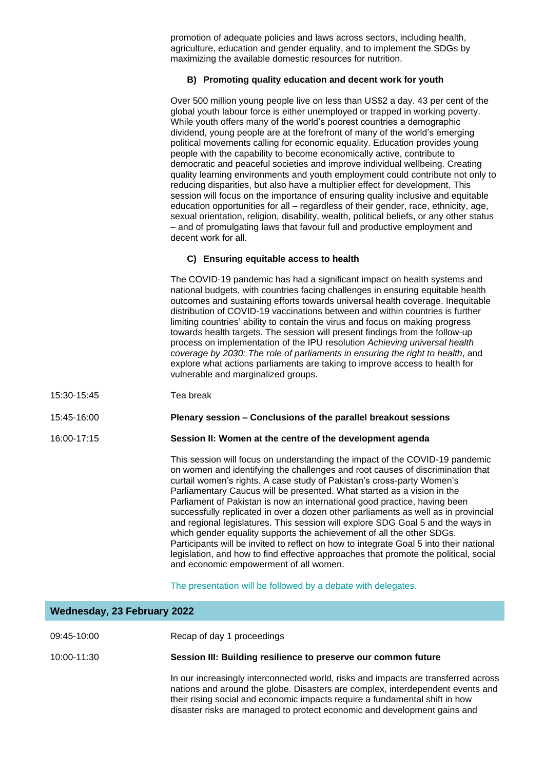promotion of adequate policies and laws across sectors, including health, agriculture, education and gender equality, and to implement the SDGs by maximizing the available domestic resources for nutrition.

## **B) Promoting quality education and decent work for youth**

Over 500 million young people live on less than US\$2 a day. 43 per cent of the global youth labour force is either unemployed or trapped in working poverty. While youth offers many of the world's poorest countries a demographic dividend, young people are at the forefront of many of the world's emerging political movements calling for economic equality. Education provides young people with the capability to become economically active, contribute to democratic and peaceful societies and improve individual wellbeing. Creating quality learning environments and youth employment could contribute not only to reducing disparities, but also have a multiplier effect for development. This session will focus on the importance of ensuring quality inclusive and equitable education opportunities for all – regardless of their gender, race, ethnicity, age, sexual orientation, religion, disability, wealth, political beliefs, or any other status – and of promulgating laws that favour full and productive employment and decent work for all.

## **C) Ensuring equitable access to health**

The COVID-19 pandemic has had a significant impact on health systems and national budgets, with countries facing challenges in ensuring equitable health outcomes and sustaining efforts towards universal health coverage. Inequitable distribution of COVID-19 vaccinations between and within countries is further limiting countries' ability to contain the virus and focus on making progress towards health targets. The session will present findings from the follow-up process on implementation of the IPU resolution *Achieving universal health coverage by 2030: The role of parliaments in ensuring the right to health*, and explore what actions parliaments are taking to improve access to health for vulnerable and marginalized groups.

15:30-15:45 Tea break

**Wednesday, 23 February 2022**

15:45-16:00 **Plenary session – Conclusions of the parallel breakout sessions**

16:00-17:15 **Session II: Women at the centre of the development agenda**

This session will focus on understanding the impact of the COVID-19 pandemic on women and identifying the challenges and root causes of discrimination that curtail women's rights. A case study of Pakistan's cross-party Women's Parliamentary Caucus will be presented. What started as a vision in the Parliament of Pakistan is now an international good practice, having been successfully replicated in over a dozen other parliaments as well as in provincial and regional legislatures. This session will explore SDG Goal 5 and the ways in which gender equality supports the achievement of all the other SDGs. Participants will be invited to reflect on how to integrate Goal 5 into their national legislation, and how to find effective approaches that promote the political, social and economic empowerment of all women.

The presentation will be followed by a debate with delegates.

| 09:45-10:00 | Recap of day 1 proceedings                                     |
|-------------|----------------------------------------------------------------|
| 10:00-11:30 | Session III: Building resilience to preserve our common future |

In our increasingly interconnected world, risks and impacts are transferred across nations and around the globe. Disasters are complex, interdependent events and their rising social and economic impacts require a fundamental shift in how disaster risks are managed to protect economic and development gains and